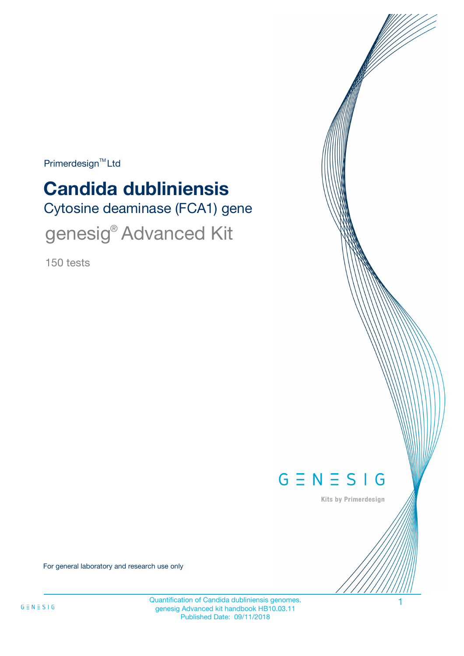$Primerdesign^{\text{TM}}$ Ltd

# **Candida dubliniensis**

Cytosine deaminase (FCA1) gene

genesig® Advanced Kit

150 tests



Kits by Primerdesign

For general laboratory and research use only

Quantification of Candida dubliniensis genomes. 1 genesig Advanced kit handbook HB10.03.11 Published Date: 09/11/2018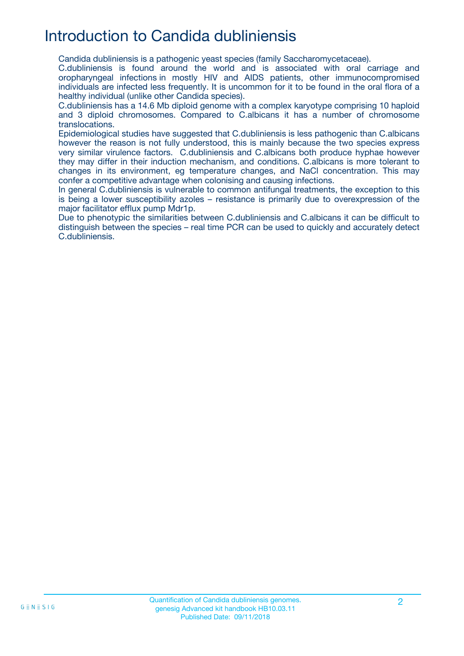### Introduction to Candida dubliniensis

Candida dubliniensis is a pathogenic yeast species (family Saccharomycetaceae).

C.dubliniensis is found around the world and is associated with oral carriage and oropharyngeal infections in mostly HIV and AIDS patients, other immunocompromised individuals are infected less frequently. It is uncommon for it to be found in the oral flora of a healthy individual (unlike other Candida species).

C.dubliniensis has a 14.6 Mb diploid genome with a complex karyotype comprising 10 haploid and 3 diploid chromosomes. Compared to C.albicans it has a number of chromosome translocations.

Epidemiological studies have suggested that C.dubliniensis is less pathogenic than C.albicans however the reason is not fully understood, this is mainly because the two species express very similar virulence factors. C.dubliniensis and C.albicans both produce hyphae however they may differ in their induction mechanism, and conditions. C.albicans is more tolerant to changes in its environment, eg temperature changes, and NaCl concentration. This may confer a competitive advantage when colonising and causing infections.

In general C.dubliniensis is vulnerable to common antifungal treatments, the exception to this is being a lower susceptibility azoles – resistance is primarily due to overexpression of the major facilitator efflux pump Mdr1p.

Due to phenotypic the similarities between C.dubliniensis and C.albicans it can be difficult to distinguish between the species – real time PCR can be used to quickly and accurately detect C.dubliniensis.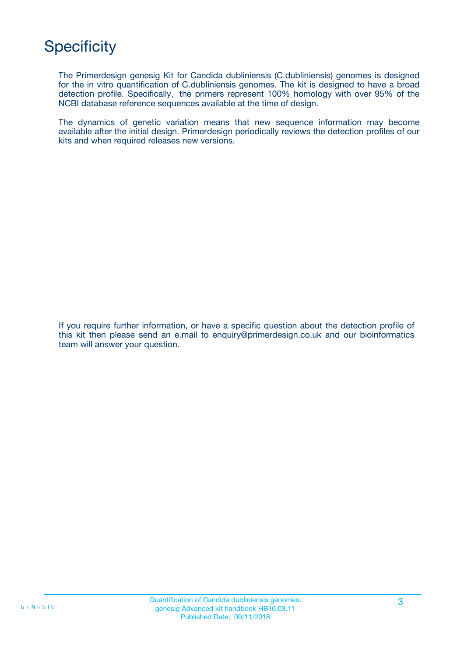## **Specificity**

The Primerdesign genesig Kit for Candida dubliniensis (C.dubliniensis) genomes is designed for the in vitro quantification of C.dubliniensis genomes. The kit is designed to have a broad detection profile. Specifically, the primers represent 100% homology with over 95% of the NCBI database reference sequences available at the time of design.

The dynamics of genetic variation means that new sequence information may become available after the initial design. Primerdesign periodically reviews the detection profiles of our kits and when required releases new versions.

If you require further information, or have a specific question about the detection profile of this kit then please send an e.mail to enquiry@primerdesign.co.uk and our bioinformatics team will answer your question.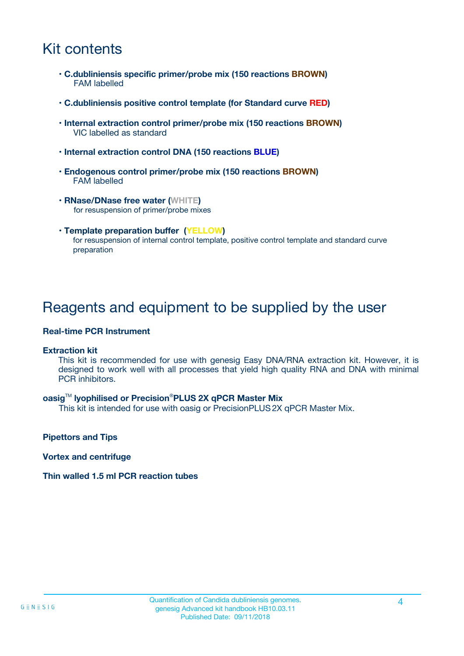### Kit contents

- **C.dubliniensis specific primer/probe mix (150 reactions BROWN)** FAM labelled
- **C.dubliniensis positive control template (for Standard curve RED)**
- **Internal extraction control primer/probe mix (150 reactions BROWN)** VIC labelled as standard
- **Internal extraction control DNA (150 reactions BLUE)**
- **Endogenous control primer/probe mix (150 reactions BROWN)** FAM labelled
- **RNase/DNase free water (WHITE)** for resuspension of primer/probe mixes
- **Template preparation buffer (YELLOW)** for resuspension of internal control template, positive control template and standard curve preparation

### Reagents and equipment to be supplied by the user

#### **Real-time PCR Instrument**

#### **Extraction kit**

This kit is recommended for use with genesig Easy DNA/RNA extraction kit. However, it is designed to work well with all processes that yield high quality RNA and DNA with minimal PCR inhibitors.

#### **oasig**TM **lyophilised or Precision**®**PLUS 2X qPCR Master Mix**

This kit is intended for use with oasig or PrecisionPLUS2X qPCR Master Mix.

**Pipettors and Tips**

**Vortex and centrifuge**

#### **Thin walled 1.5 ml PCR reaction tubes**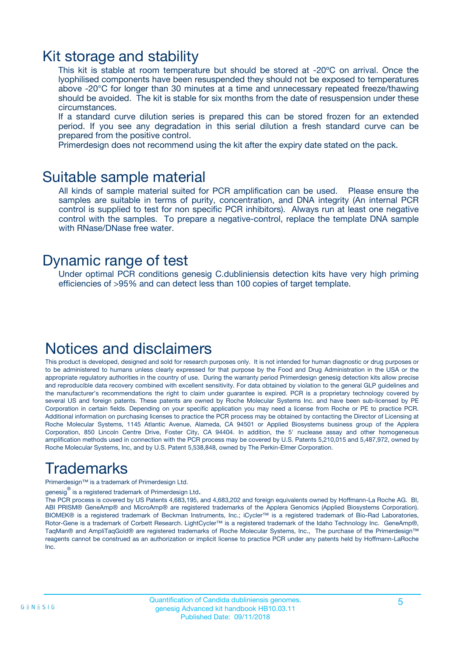### Kit storage and stability

This kit is stable at room temperature but should be stored at -20ºC on arrival. Once the lyophilised components have been resuspended they should not be exposed to temperatures above -20°C for longer than 30 minutes at a time and unnecessary repeated freeze/thawing should be avoided. The kit is stable for six months from the date of resuspension under these circumstances.

If a standard curve dilution series is prepared this can be stored frozen for an extended period. If you see any degradation in this serial dilution a fresh standard curve can be prepared from the positive control.

Primerdesign does not recommend using the kit after the expiry date stated on the pack.

### Suitable sample material

All kinds of sample material suited for PCR amplification can be used. Please ensure the samples are suitable in terms of purity, concentration, and DNA integrity (An internal PCR control is supplied to test for non specific PCR inhibitors). Always run at least one negative control with the samples. To prepare a negative-control, replace the template DNA sample with RNase/DNase free water.

### Dynamic range of test

Under optimal PCR conditions genesig C.dubliniensis detection kits have very high priming efficiencies of >95% and can detect less than 100 copies of target template.

### Notices and disclaimers

This product is developed, designed and sold for research purposes only. It is not intended for human diagnostic or drug purposes or to be administered to humans unless clearly expressed for that purpose by the Food and Drug Administration in the USA or the appropriate regulatory authorities in the country of use. During the warranty period Primerdesign genesig detection kits allow precise and reproducible data recovery combined with excellent sensitivity. For data obtained by violation to the general GLP guidelines and the manufacturer's recommendations the right to claim under guarantee is expired. PCR is a proprietary technology covered by several US and foreign patents. These patents are owned by Roche Molecular Systems Inc. and have been sub-licensed by PE Corporation in certain fields. Depending on your specific application you may need a license from Roche or PE to practice PCR. Additional information on purchasing licenses to practice the PCR process may be obtained by contacting the Director of Licensing at Roche Molecular Systems, 1145 Atlantic Avenue, Alameda, CA 94501 or Applied Biosystems business group of the Applera Corporation, 850 Lincoln Centre Drive, Foster City, CA 94404. In addition, the 5' nuclease assay and other homogeneous amplification methods used in connection with the PCR process may be covered by U.S. Patents 5,210,015 and 5,487,972, owned by Roche Molecular Systems, Inc, and by U.S. Patent 5,538,848, owned by The Perkin-Elmer Corporation.

### Trademarks

Primerdesign™ is a trademark of Primerdesign Ltd.

genesig $^\circledR$  is a registered trademark of Primerdesign Ltd.

The PCR process is covered by US Patents 4,683,195, and 4,683,202 and foreign equivalents owned by Hoffmann-La Roche AG. BI, ABI PRISM® GeneAmp® and MicroAmp® are registered trademarks of the Applera Genomics (Applied Biosystems Corporation). BIOMEK® is a registered trademark of Beckman Instruments, Inc.; iCycler™ is a registered trademark of Bio-Rad Laboratories, Rotor-Gene is a trademark of Corbett Research. LightCycler™ is a registered trademark of the Idaho Technology Inc. GeneAmp®, TaqMan® and AmpliTaqGold® are registered trademarks of Roche Molecular Systems, Inc., The purchase of the Primerdesign™ reagents cannot be construed as an authorization or implicit license to practice PCR under any patents held by Hoffmann-LaRoche Inc.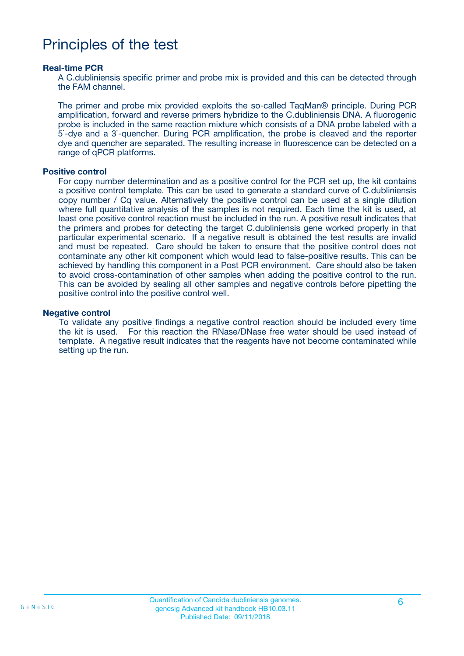### Principles of the test

#### **Real-time PCR**

A C.dubliniensis specific primer and probe mix is provided and this can be detected through the FAM channel.

The primer and probe mix provided exploits the so-called TaqMan® principle. During PCR amplification, forward and reverse primers hybridize to the C.dubliniensis DNA. A fluorogenic probe is included in the same reaction mixture which consists of a DNA probe labeled with a 5`-dye and a 3`-quencher. During PCR amplification, the probe is cleaved and the reporter dye and quencher are separated. The resulting increase in fluorescence can be detected on a range of qPCR platforms.

#### **Positive control**

For copy number determination and as a positive control for the PCR set up, the kit contains a positive control template. This can be used to generate a standard curve of C.dubliniensis copy number / Cq value. Alternatively the positive control can be used at a single dilution where full quantitative analysis of the samples is not required. Each time the kit is used, at least one positive control reaction must be included in the run. A positive result indicates that the primers and probes for detecting the target C.dubliniensis gene worked properly in that particular experimental scenario. If a negative result is obtained the test results are invalid and must be repeated. Care should be taken to ensure that the positive control does not contaminate any other kit component which would lead to false-positive results. This can be achieved by handling this component in a Post PCR environment. Care should also be taken to avoid cross-contamination of other samples when adding the positive control to the run. This can be avoided by sealing all other samples and negative controls before pipetting the positive control into the positive control well.

#### **Negative control**

To validate any positive findings a negative control reaction should be included every time the kit is used. For this reaction the RNase/DNase free water should be used instead of template. A negative result indicates that the reagents have not become contaminated while setting up the run.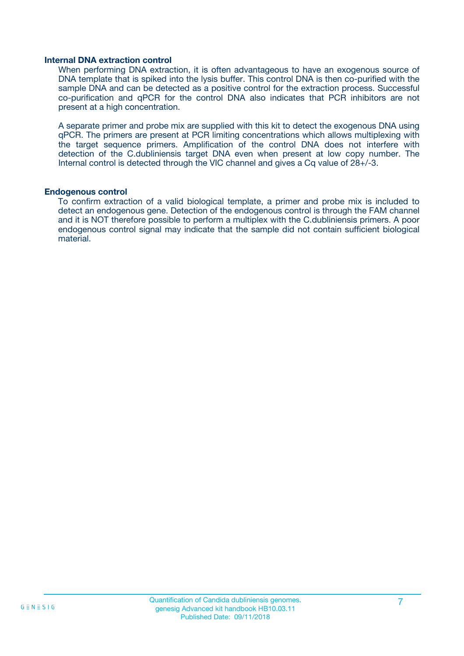#### **Internal DNA extraction control**

When performing DNA extraction, it is often advantageous to have an exogenous source of DNA template that is spiked into the lysis buffer. This control DNA is then co-purified with the sample DNA and can be detected as a positive control for the extraction process. Successful co-purification and qPCR for the control DNA also indicates that PCR inhibitors are not present at a high concentration.

A separate primer and probe mix are supplied with this kit to detect the exogenous DNA using qPCR. The primers are present at PCR limiting concentrations which allows multiplexing with the target sequence primers. Amplification of the control DNA does not interfere with detection of the C.dubliniensis target DNA even when present at low copy number. The Internal control is detected through the VIC channel and gives a Cq value of 28+/-3.

#### **Endogenous control**

To confirm extraction of a valid biological template, a primer and probe mix is included to detect an endogenous gene. Detection of the endogenous control is through the FAM channel and it is NOT therefore possible to perform a multiplex with the C.dubliniensis primers. A poor endogenous control signal may indicate that the sample did not contain sufficient biological material.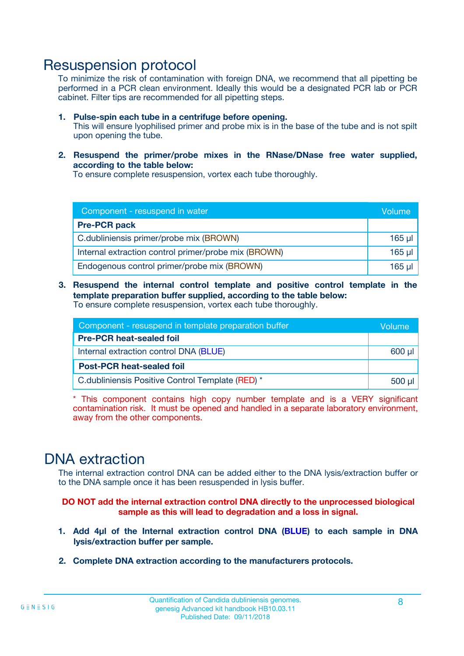### Resuspension protocol

To minimize the risk of contamination with foreign DNA, we recommend that all pipetting be performed in a PCR clean environment. Ideally this would be a designated PCR lab or PCR cabinet. Filter tips are recommended for all pipetting steps.

- **1. Pulse-spin each tube in a centrifuge before opening.** This will ensure lyophilised primer and probe mix is in the base of the tube and is not spilt upon opening the tube.
- **2. Resuspend the primer/probe mixes in the RNase/DNase free water supplied, according to the table below:**

To ensure complete resuspension, vortex each tube thoroughly.

| Component - resuspend in water                       |          |  |
|------------------------------------------------------|----------|--|
| <b>Pre-PCR pack</b>                                  |          |  |
| C.dubliniensis primer/probe mix (BROWN)              | $165$ µl |  |
| Internal extraction control primer/probe mix (BROWN) | $165$ µl |  |
| Endogenous control primer/probe mix (BROWN)          | 165 µl   |  |

**3. Resuspend the internal control template and positive control template in the template preparation buffer supplied, according to the table below:** To ensure complete resuspension, vortex each tube thoroughly.

| Component - resuspend in template preparation buffer |  |  |  |
|------------------------------------------------------|--|--|--|
| <b>Pre-PCR heat-sealed foil</b>                      |  |  |  |
| Internal extraction control DNA (BLUE)               |  |  |  |
| <b>Post-PCR heat-sealed foil</b>                     |  |  |  |
| C.dubliniensis Positive Control Template (RED) *     |  |  |  |

\* This component contains high copy number template and is a VERY significant contamination risk. It must be opened and handled in a separate laboratory environment, away from the other components.

### DNA extraction

The internal extraction control DNA can be added either to the DNA lysis/extraction buffer or to the DNA sample once it has been resuspended in lysis buffer.

**DO NOT add the internal extraction control DNA directly to the unprocessed biological sample as this will lead to degradation and a loss in signal.**

- **1. Add 4µl of the Internal extraction control DNA (BLUE) to each sample in DNA lysis/extraction buffer per sample.**
- **2. Complete DNA extraction according to the manufacturers protocols.**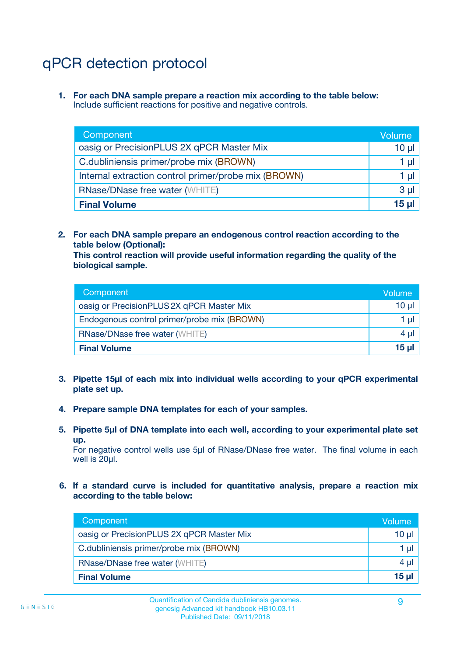# qPCR detection protocol

**1. For each DNA sample prepare a reaction mix according to the table below:** Include sufficient reactions for positive and negative controls.

| Component                                            | Volume   |
|------------------------------------------------------|----------|
| oasig or PrecisionPLUS 2X qPCR Master Mix            | $10 \mu$ |
| C.dubliniensis primer/probe mix (BROWN)              | 1 µI     |
| Internal extraction control primer/probe mix (BROWN) | 1 µl     |
| <b>RNase/DNase free water (WHITE)</b>                | $3 \mu$  |
| <b>Final Volume</b>                                  | 15 µl    |

**2. For each DNA sample prepare an endogenous control reaction according to the table below (Optional):**

**This control reaction will provide useful information regarding the quality of the biological sample.**

| Component                                   | Volume   |
|---------------------------------------------|----------|
| oasig or PrecisionPLUS 2X qPCR Master Mix   | $10 \mu$ |
| Endogenous control primer/probe mix (BROWN) | 1 µI     |
| <b>RNase/DNase free water (WHITE)</b>       | $4 \mu$  |
| <b>Final Volume</b>                         | 15 µl    |

- **3. Pipette 15µl of each mix into individual wells according to your qPCR experimental plate set up.**
- **4. Prepare sample DNA templates for each of your samples.**
- **5. Pipette 5µl of DNA template into each well, according to your experimental plate set up.**

For negative control wells use 5µl of RNase/DNase free water. The final volume in each well is 20ul.

**6. If a standard curve is included for quantitative analysis, prepare a reaction mix according to the table below:**

| Component                                 | Volume          |
|-------------------------------------------|-----------------|
| oasig or PrecisionPLUS 2X qPCR Master Mix | 10 $\mu$        |
| C.dubliniensis primer/probe mix (BROWN)   | 1 µI -          |
| <b>RNase/DNase free water (WHITE)</b>     | 4 µl            |
| <b>Final Volume</b>                       | 15 <sub>µ</sub> |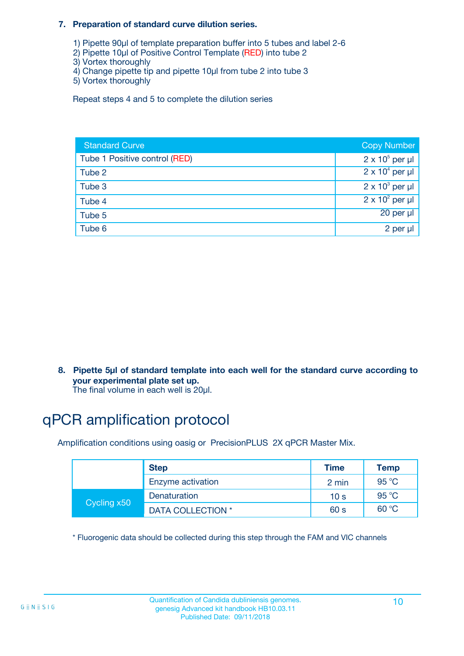#### **7. Preparation of standard curve dilution series.**

- 1) Pipette 90µl of template preparation buffer into 5 tubes and label 2-6
- 2) Pipette 10µl of Positive Control Template (RED) into tube 2
- 3) Vortex thoroughly
- 4) Change pipette tip and pipette 10µl from tube 2 into tube 3
- 5) Vortex thoroughly

Repeat steps 4 and 5 to complete the dilution series

| <b>Standard Curve</b>         | <b>Copy Number</b>     |
|-------------------------------|------------------------|
| Tube 1 Positive control (RED) | $2 \times 10^5$ per µl |
| Tube 2                        | $2 \times 10^4$ per µl |
| Tube 3                        | $2 \times 10^3$ per µl |
| Tube 4                        | $2 \times 10^2$ per µl |
| Tube 5                        | 20 per µl              |
| Tube 6                        | 2 per µl               |

**8. Pipette 5µl of standard template into each well for the standard curve according to your experimental plate set up.**

#### The final volume in each well is 20µl.

### qPCR amplification protocol

Amplification conditions using oasig or PrecisionPLUS 2X qPCR Master Mix.

|             | <b>Step</b>       | <b>Time</b>     | Temp    |
|-------------|-------------------|-----------------|---------|
|             | Enzyme activation | 2 min           | 95 °C   |
| Cycling x50 | Denaturation      | 10 <sub>s</sub> | 95 $°C$ |
|             | DATA COLLECTION * | 60 s            | 60 °C   |

\* Fluorogenic data should be collected during this step through the FAM and VIC channels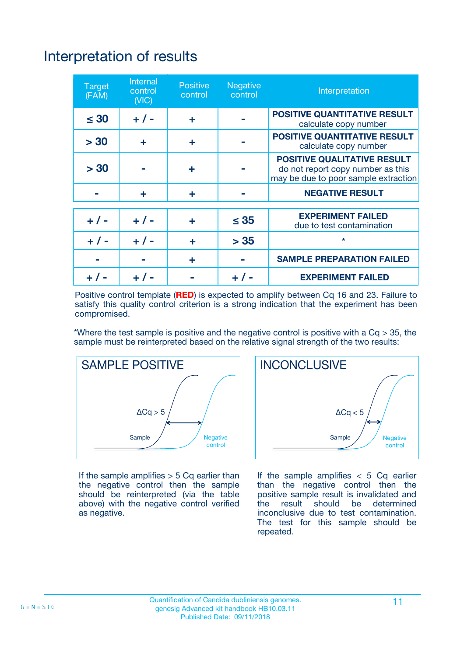# Interpretation of results

| <b>Target</b><br>(FAM) | <b>Internal</b><br>control<br>(NIC) | <b>Positive</b><br>control | <b>Negative</b><br>control | Interpretation                                                                                                  |
|------------------------|-------------------------------------|----------------------------|----------------------------|-----------------------------------------------------------------------------------------------------------------|
| $\leq 30$              | $+ 1 -$                             | ÷                          |                            | <b>POSITIVE QUANTITATIVE RESULT</b><br>calculate copy number                                                    |
| > 30                   | ٠                                   | ÷                          |                            | <b>POSITIVE QUANTITATIVE RESULT</b><br>calculate copy number                                                    |
| > 30                   |                                     | ÷                          |                            | <b>POSITIVE QUALITATIVE RESULT</b><br>do not report copy number as this<br>may be due to poor sample extraction |
|                        | ÷                                   | ÷                          |                            | <b>NEGATIVE RESULT</b>                                                                                          |
| $+ 1 -$                | $+ 1 -$                             | ÷                          | $\leq$ 35                  | <b>EXPERIMENT FAILED</b><br>due to test contamination                                                           |
| $+$ / -                | $+ 1 -$                             | ÷                          | > 35                       | $\star$                                                                                                         |
|                        |                                     | ÷                          |                            | <b>SAMPLE PREPARATION FAILED</b>                                                                                |
|                        |                                     |                            | $+$ /                      | <b>EXPERIMENT FAILED</b>                                                                                        |

Positive control template (**RED**) is expected to amplify between Cq 16 and 23. Failure to satisfy this quality control criterion is a strong indication that the experiment has been compromised.

\*Where the test sample is positive and the negative control is positive with a  $Ca > 35$ , the sample must be reinterpreted based on the relative signal strength of the two results:



If the sample amplifies  $> 5$  Cq earlier than the negative control then the sample should be reinterpreted (via the table above) with the negative control verified as negative.



If the sample amplifies  $< 5$  Cq earlier than the negative control then the positive sample result is invalidated and<br>the result should be determined  $the$  result should be inconclusive due to test contamination. The test for this sample should be repeated.